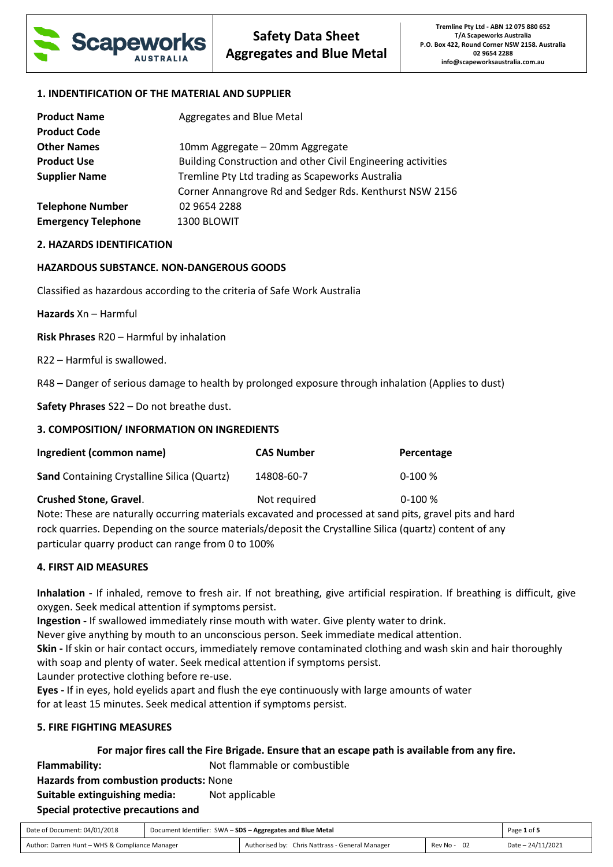

## **1. INDENTIFICATION OF THE MATERIAL AND SUPPLIER**

| <b>Product Name</b>        | Aggregates and Blue Metal                                    |
|----------------------------|--------------------------------------------------------------|
| <b>Product Code</b>        |                                                              |
| <b>Other Names</b>         | 10mm Aggregate - 20mm Aggregate                              |
| <b>Product Use</b>         | Building Construction and other Civil Engineering activities |
| <b>Supplier Name</b>       | Tremline Pty Ltd trading as Scapeworks Australia             |
|                            | Corner Annangrove Rd and Sedger Rds. Kenthurst NSW 2156      |
| <b>Telephone Number</b>    | 02 9654 2288                                                 |
| <b>Emergency Telephone</b> | 1300 BLOWIT                                                  |

# **2. HAZARDS IDENTIFICATION**

# **HAZARDOUS SUBSTANCE. NON-DANGEROUS GOODS**

Classified as hazardous according to the criteria of Safe Work Australia

**Hazards** Xn – Harmful

**Risk Phrases** R20 – Harmful by inhalation

R22 – Harmful is swallowed.

R48 – Danger of serious damage to health by prolonged exposure through inhalation (Applies to dust)

**Safety Phrases** S22 – Do not breathe dust.

## **3. COMPOSITION/ INFORMATION ON INGREDIENTS**

| Ingredient (common name)                           | <b>CAS Number</b> | Percentage |
|----------------------------------------------------|-------------------|------------|
| <b>Sand</b> Containing Crystalline Silica (Quartz) | 14808-60-7        | $0-100%$   |
| <b>Crushed Stone, Gravel.</b>                      | Not required      | $0-100%$   |

Note: These are naturally occurring materials excavated and processed at sand pits, gravel pits and hard rock quarries. Depending on the source materials/deposit the Crystalline Silica (quartz) content of any particular quarry product can range from 0 to 100%

## **4. FIRST AID MEASURES**

**Inhalation -** If inhaled, remove to fresh air. If not breathing, give artificial respiration. If breathing is difficult, give oxygen. Seek medical attention if symptoms persist.

**Ingestion -** If swallowed immediately rinse mouth with water. Give plenty water to drink.

Never give anything by mouth to an unconscious person. Seek immediate medical attention.

**Skin -** If skin or hair contact occurs, immediately remove contaminated clothing and wash skin and hair thoroughly with soap and plenty of water. Seek medical attention if symptoms persist.

Launder protective clothing before re-use.

**Eyes -** If in eyes, hold eyelids apart and flush the eye continuously with large amounts of water for at least 15 minutes. Seek medical attention if symptoms persist.

## **5. FIRE FIGHTING MEASURES**

## **For major fires call the Fire Brigade. Ensure that an escape path is available from any fire.**

**Flammability:** Not flammable or combustible

**Hazards from combustion products:** None

**Suitable extinguishing media:** Not applicable **Special protective precautions and** 

| Date of Document: 04/01/2018                   | Document Identifier: SWA - SDS - Aggregates and Blue Metal |                                                 | Page 1 of 5 |                   |
|------------------------------------------------|------------------------------------------------------------|-------------------------------------------------|-------------|-------------------|
| Author: Darren Hunt - WHS & Compliance Manager |                                                            | Authorised by: Chris Nattrass - General Manager | Rev No - 02 | Date - 24/11/2021 |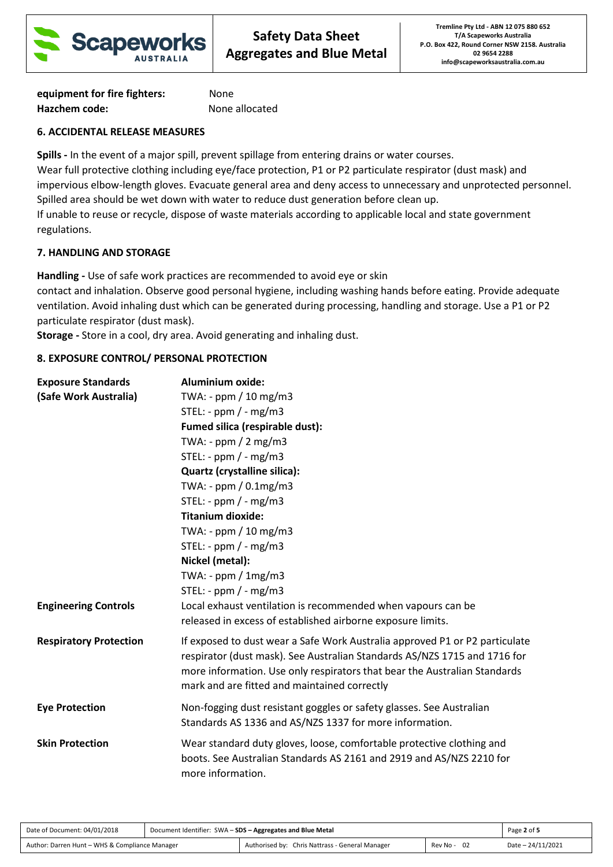

**equipment for fire fighters:** None **Hazchem code:** None allocated

# **6. ACCIDENTAL RELEASE MEASURES**

**Spills -** In the event of a major spill, prevent spillage from entering drains or water courses.

Wear full protective clothing including eye/face protection, P1 or P2 particulate respirator (dust mask) and impervious elbow-length gloves. Evacuate general area and deny access to unnecessary and unprotected personnel. Spilled area should be wet down with water to reduce dust generation before clean up.

If unable to reuse or recycle, dispose of waste materials according to applicable local and state government regulations.

# **7. HANDLING AND STORAGE**

**Handling -** Use of safe work practices are recommended to avoid eye or skin

contact and inhalation. Observe good personal hygiene, including washing hands before eating. Provide adequate ventilation. Avoid inhaling dust which can be generated during processing, handling and storage. Use a P1 or P2 particulate respirator (dust mask).

**Storage -** Store in a cool, dry area. Avoid generating and inhaling dust.

# **8. EXPOSURE CONTROL/ PERSONAL PROTECTION**

| <b>Exposure Standards</b>     | <b>Aluminium oxide:</b>                                                                                                                                                                                                                                                               |  |  |
|-------------------------------|---------------------------------------------------------------------------------------------------------------------------------------------------------------------------------------------------------------------------------------------------------------------------------------|--|--|
| (Safe Work Australia)         | TWA: - ppm / 10 mg/m3                                                                                                                                                                                                                                                                 |  |  |
|                               | STEL: - $ppm$ / - $mg/m3$                                                                                                                                                                                                                                                             |  |  |
|                               | Fumed silica (respirable dust):                                                                                                                                                                                                                                                       |  |  |
|                               | TWA: - $ppm / 2 mg/m3$                                                                                                                                                                                                                                                                |  |  |
|                               | STEL: - $ppm / - mg/m3$                                                                                                                                                                                                                                                               |  |  |
|                               | Quartz (crystalline silica):                                                                                                                                                                                                                                                          |  |  |
|                               | TWA: - $ppm / 0.1mg/m3$                                                                                                                                                                                                                                                               |  |  |
|                               | STEL: - ppm $/$ - mg/m3                                                                                                                                                                                                                                                               |  |  |
|                               | <b>Titanium dioxide:</b>                                                                                                                                                                                                                                                              |  |  |
|                               | TWA: - ppm / 10 mg/m3                                                                                                                                                                                                                                                                 |  |  |
|                               | STEL: - $ppm$ / - $mg/m3$                                                                                                                                                                                                                                                             |  |  |
|                               | Nickel (metal):                                                                                                                                                                                                                                                                       |  |  |
|                               | TWA: - $ppm / 1mg/m3$                                                                                                                                                                                                                                                                 |  |  |
|                               | STEL: - ppm $/$ - mg/m3                                                                                                                                                                                                                                                               |  |  |
| <b>Engineering Controls</b>   | Local exhaust ventilation is recommended when vapours can be                                                                                                                                                                                                                          |  |  |
|                               | released in excess of established airborne exposure limits.                                                                                                                                                                                                                           |  |  |
| <b>Respiratory Protection</b> | If exposed to dust wear a Safe Work Australia approved P1 or P2 particulate<br>respirator (dust mask). See Australian Standards AS/NZS 1715 and 1716 for<br>more information. Use only respirators that bear the Australian Standards<br>mark and are fitted and maintained correctly |  |  |
| <b>Eye Protection</b>         | Non-fogging dust resistant goggles or safety glasses. See Australian<br>Standards AS 1336 and AS/NZS 1337 for more information.                                                                                                                                                       |  |  |
| <b>Skin Protection</b>        | Wear standard duty gloves, loose, comfortable protective clothing and<br>boots. See Australian Standards AS 2161 and 2919 and AS/NZS 2210 for<br>more information.                                                                                                                    |  |  |

| Date of Document: 04/01/2018                   | Document Identifier: SWA - SDS - Aggregates and Blue Metal |                                                 | Page 2 of 5 |                   |
|------------------------------------------------|------------------------------------------------------------|-------------------------------------------------|-------------|-------------------|
| Author: Darren Hunt - WHS & Compliance Manager |                                                            | Authorised by: Chris Nattrass - General Manager | Rev No - 02 | Date - 24/11/2021 |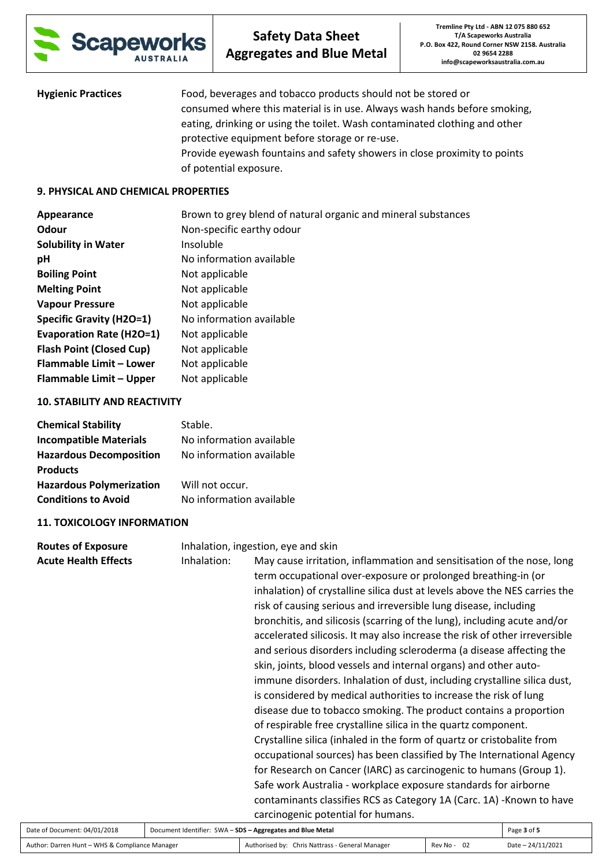

| <b>Hygienic Practices</b> | Food, beverages and tobacco products should not be stored or               |
|---------------------------|----------------------------------------------------------------------------|
|                           | consumed where this material is in use. Always wash hands before smoking,  |
|                           | eating, drinking or using the toilet. Wash contaminated clothing and other |
|                           | protective equipment before storage or re-use.                             |
|                           | Provide eyewash fountains and safety showers in close proximity to points  |
|                           | of potential exposure.                                                     |

### **9. PHYSICAL AND CHEMICAL PROPERTIES**

| Appearance                      | Brown to grey blend of natural organic and mineral substances |
|---------------------------------|---------------------------------------------------------------|
| Odour                           | Non-specific earthy odour                                     |
| <b>Solubility in Water</b>      | Insoluble                                                     |
| pH                              | No information available                                      |
| <b>Boiling Point</b>            | Not applicable                                                |
| <b>Melting Point</b>            | Not applicable                                                |
| <b>Vapour Pressure</b>          | Not applicable                                                |
| <b>Specific Gravity (H2O=1)</b> | No information available                                      |
| <b>Evaporation Rate (H2O=1)</b> | Not applicable                                                |
| <b>Flash Point (Closed Cup)</b> | Not applicable                                                |
| Flammable Limit - Lower         | Not applicable                                                |
| Flammable Limit - Upper         | Not applicable                                                |

#### **10. STABILITY AND REACTIVITY**

| Stable.                  |
|--------------------------|
| No information available |
| No information available |
|                          |
| Will not occur.          |
| No information available |
|                          |

## **11. TOXICOLOGY INFORMATION**

| <b>Routes of Exposure</b>   | Inhalation, ingestion, eye and skin                        |                                                                                                                                                                                                                                                                                                                                                                                                                                                                                                                                                                                                                                                                                                                                                                                                                                                                                                                                                                                                                                                                                                                                                                                                                                                                                                   |             |
|-----------------------------|------------------------------------------------------------|---------------------------------------------------------------------------------------------------------------------------------------------------------------------------------------------------------------------------------------------------------------------------------------------------------------------------------------------------------------------------------------------------------------------------------------------------------------------------------------------------------------------------------------------------------------------------------------------------------------------------------------------------------------------------------------------------------------------------------------------------------------------------------------------------------------------------------------------------------------------------------------------------------------------------------------------------------------------------------------------------------------------------------------------------------------------------------------------------------------------------------------------------------------------------------------------------------------------------------------------------------------------------------------------------|-------------|
| <b>Acute Health Effects</b> | Inhalation:                                                | May cause irritation, inflammation and sensitisation of the nose, long<br>term occupational over-exposure or prolonged breathing-in (or<br>inhalation) of crystalline silica dust at levels above the NES carries the<br>risk of causing serious and irreversible lung disease, including<br>bronchitis, and silicosis (scarring of the lung), including acute and/or<br>accelerated silicosis. It may also increase the risk of other irreversible<br>and serious disorders including scleroderma (a disease affecting the<br>skin, joints, blood vessels and internal organs) and other auto-<br>immune disorders. Inhalation of dust, including crystalline silica dust,<br>is considered by medical authorities to increase the risk of lung<br>disease due to tobacco smoking. The product contains a proportion<br>of respirable free crystalline silica in the quartz component.<br>Crystalline silica (inhaled in the form of quartz or cristobalite from<br>occupational sources) has been classified by The International Agency<br>for Research on Cancer (IARC) as carcinogenic to humans (Group 1).<br>Safe work Australia - workplace exposure standards for airborne<br>contaminants classifies RCS as Category 1A (Carc. 1A) -Known to have<br>carcinogenic potential for humans. |             |
| te of Document: 04/01/2018  | Document Identifier: SWA - SDS - Aggregates and Blue Metal |                                                                                                                                                                                                                                                                                                                                                                                                                                                                                                                                                                                                                                                                                                                                                                                                                                                                                                                                                                                                                                                                                                                                                                                                                                                                                                   | Page 3 of 5 |

| Date of Document: 04/01/2018                   | Document Identifier: SWA - SDS - Aggregates and Blue Metal |                                                 | Page 3 of 5      |                   |
|------------------------------------------------|------------------------------------------------------------|-------------------------------------------------|------------------|-------------------|
| Author: Darren Hunt - WHS & Compliance Manager |                                                            | Authorised by: Chris Nattrass - General Manager | - 02<br>Rev No - | Date - 24/11/2021 |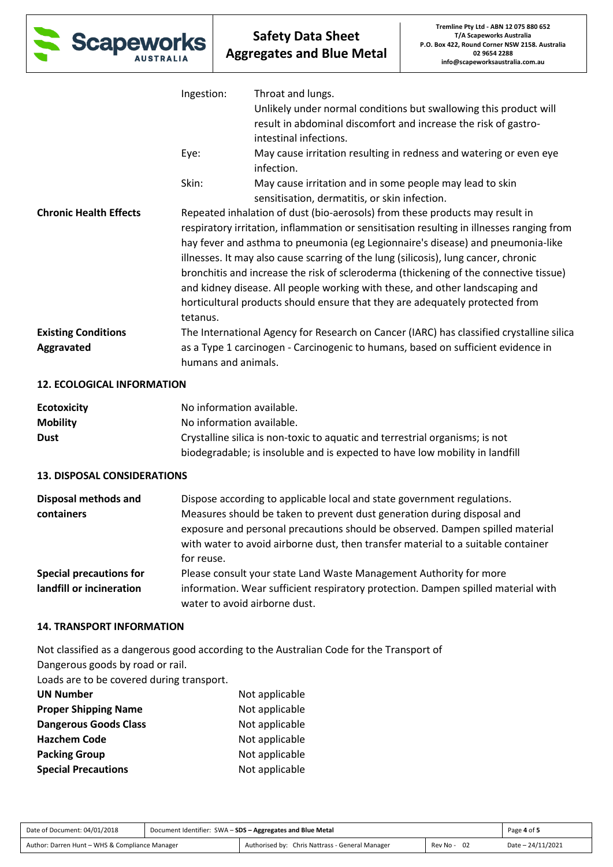

|                               | Ingestion:          | Throat and lungs.                                                                                                                                                                                                                                                                                                                                                                                                                                                                                                                                                                                            |
|-------------------------------|---------------------|--------------------------------------------------------------------------------------------------------------------------------------------------------------------------------------------------------------------------------------------------------------------------------------------------------------------------------------------------------------------------------------------------------------------------------------------------------------------------------------------------------------------------------------------------------------------------------------------------------------|
|                               |                     | Unlikely under normal conditions but swallowing this product will<br>result in abdominal discomfort and increase the risk of gastro-<br>intestinal infections.                                                                                                                                                                                                                                                                                                                                                                                                                                               |
|                               | Eye:                | May cause irritation resulting in redness and watering or even eye<br>infection.                                                                                                                                                                                                                                                                                                                                                                                                                                                                                                                             |
|                               | Skin:               | May cause irritation and in some people may lead to skin<br>sensitisation, dermatitis, or skin infection.                                                                                                                                                                                                                                                                                                                                                                                                                                                                                                    |
| <b>Chronic Health Effects</b> | tetanus.            | Repeated inhalation of dust (bio-aerosols) from these products may result in<br>respiratory irritation, inflammation or sensitisation resulting in illnesses ranging from<br>hay fever and asthma to pneumonia (eg Legionnaire's disease) and pneumonia-like<br>illnesses. It may also cause scarring of the lung (silicosis), lung cancer, chronic<br>bronchitis and increase the risk of scleroderma (thickening of the connective tissue)<br>and kidney disease. All people working with these, and other landscaping and<br>horticultural products should ensure that they are adequately protected from |
| <b>Existing Conditions</b>    |                     | The International Agency for Research on Cancer (IARC) has classified crystalline silica                                                                                                                                                                                                                                                                                                                                                                                                                                                                                                                     |
| Aggravated                    | humans and animals. | as a Type 1 carcinogen - Carcinogenic to humans, based on sufficient evidence in                                                                                                                                                                                                                                                                                                                                                                                                                                                                                                                             |

### **12. ECOLOGICAL INFORMATION**

| <b>Ecotoxicity</b> | No information available.                                                    |
|--------------------|------------------------------------------------------------------------------|
| <b>Mobility</b>    | No information available.                                                    |
| <b>Dust</b>        | Crystalline silica is non-toxic to aquatic and terrestrial organisms; is not |
|                    | biodegradable; is insoluble and is expected to have low mobility in landfill |

## **13. DISPOSAL CONSIDERATIONS**

| <b>Disposal methods and</b>    | Dispose according to applicable local and state government regulations.           |
|--------------------------------|-----------------------------------------------------------------------------------|
| containers                     | Measures should be taken to prevent dust generation during disposal and           |
|                                | exposure and personal precautions should be observed. Dampen spilled material     |
|                                | with water to avoid airborne dust, then transfer material to a suitable container |
|                                | for reuse.                                                                        |
| <b>Special precautions for</b> | Please consult your state Land Waste Management Authority for more                |
| landfill or incineration       | information. Wear sufficient respiratory protection. Dampen spilled material with |
|                                | water to avoid airborne dust.                                                     |

# **14. TRANSPORT INFORMATION**

Not classified as a dangerous good according to the Australian Code for the Transport of

Dangerous goods by road or rail.

Loads are to be covered during transport.

| <b>UN Number</b>             | Not applicable |
|------------------------------|----------------|
| <b>Proper Shipping Name</b>  | Not applicable |
| <b>Dangerous Goods Class</b> | Not applicable |
| <b>Hazchem Code</b>          | Not applicable |
| <b>Packing Group</b>         | Not applicable |
| <b>Special Precautions</b>   | Not applicable |

| Date of Document: 04/01/2018                   | Document Identifier: SWA - SDS - Aggregates and Blue Metal | Page 4 of 5                                     |             |                   |
|------------------------------------------------|------------------------------------------------------------|-------------------------------------------------|-------------|-------------------|
| Author: Darren Hunt - WHS & Compliance Manager |                                                            | Authorised by: Chris Nattrass - General Manager | Rev No - 02 | Date - 24/11/2021 |